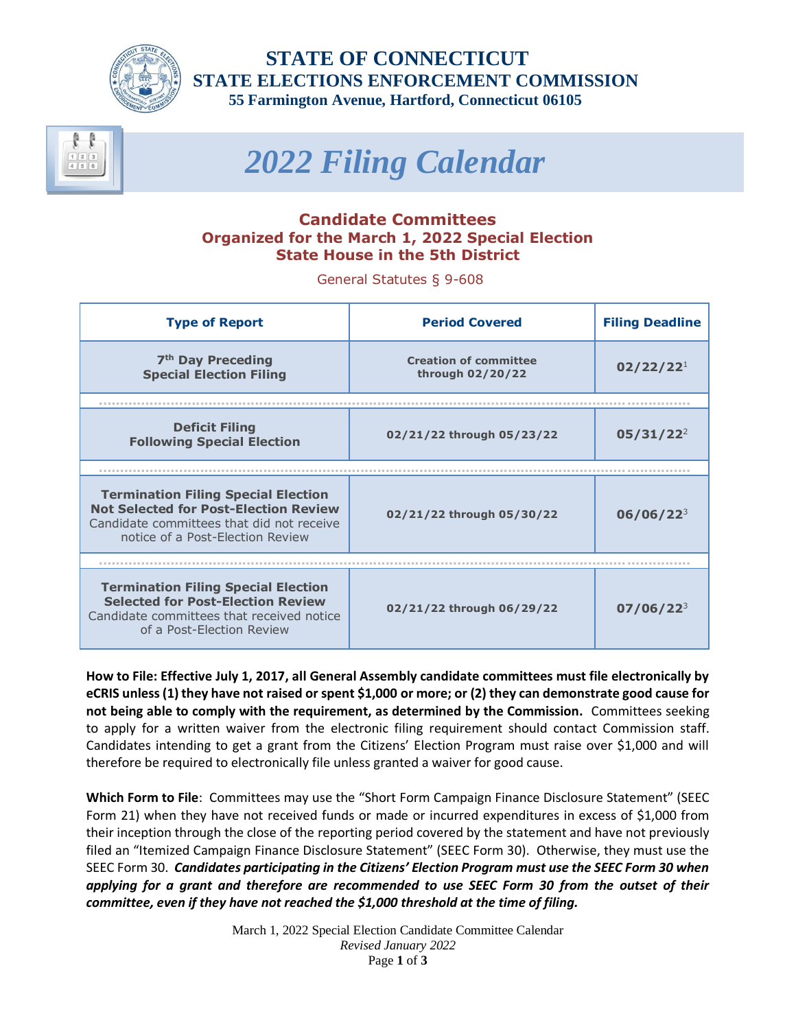

 **STATE OF CONNECTICUT STATE ELECTIONS ENFORCEMENT COMMISSION 55 Farmington Avenue, Hartford, Connecticut 06105**

# *2022 Filing Calendar*

# **Candidate Committees Organized for the March 1, 2022 Special Election State House in the 5th District**

General Statutes § 9-608

| <b>Type of Report</b>                                                                                                                                                       | <b>Period Covered</b>                            | <b>Filing Deadline</b> |
|-----------------------------------------------------------------------------------------------------------------------------------------------------------------------------|--------------------------------------------------|------------------------|
| 7 <sup>th</sup> Day Preceding<br><b>Special Election Filing</b>                                                                                                             | <b>Creation of committee</b><br>through 02/20/22 | 02/22/22 <sup>1</sup>  |
|                                                                                                                                                                             |                                                  |                        |
| <b>Deficit Filing</b><br><b>Following Special Election</b>                                                                                                                  | 02/21/22 through 05/23/22                        | $05/31/22^2$           |
|                                                                                                                                                                             |                                                  |                        |
| <b>Termination Filing Special Election</b><br><b>Not Selected for Post-Election Review</b><br>Candidate committees that did not receive<br>notice of a Post-Flection Review | 02/21/22 through 05/30/22                        | $06/06/22^{3}$         |
|                                                                                                                                                                             |                                                  |                        |
| <b>Termination Filing Special Election</b><br><b>Selected for Post-Election Review</b><br>Candidate committees that received notice<br>of a Post-Flection Review            | 02/21/22 through 06/29/22                        | $07/06/22^{3}$         |

**How to File: Effective July 1, 2017, all General Assembly candidate committees must file electronically by eCRIS unless (1) they have not raised or spent \$1,000 or more; or (2) they can demonstrate good cause for not being able to comply with the requirement, as determined by the Commission.** Committees seeking to apply for a written waiver from the electronic filing requirement should contact Commission staff. Candidates intending to get a grant from the Citizens' Election Program must raise over \$1,000 and will therefore be required to electronically file unless granted a waiver for good cause.

**Which Form to File**: Committees may use the "Short Form Campaign Finance Disclosure Statement" (SEEC Form 21) when they have not received funds or made or incurred expenditures in excess of \$1,000 from their inception through the close of the reporting period covered by the statement and have not previously filed an "Itemized Campaign Finance Disclosure Statement" (SEEC Form 30). Otherwise, they must use the SEEC Form 30. *Candidates participating in the Citizens' Election Program must use the SEEC Form 30 when applying for a grant and therefore are recommended to use SEEC Form 30 from the outset of their committee, even if they have not reached the \$1,000 threshold at the time of filing.*

> March 1, 2022 Special Election Candidate Committee Calendar *Revised January 2022* Page **1** of **3**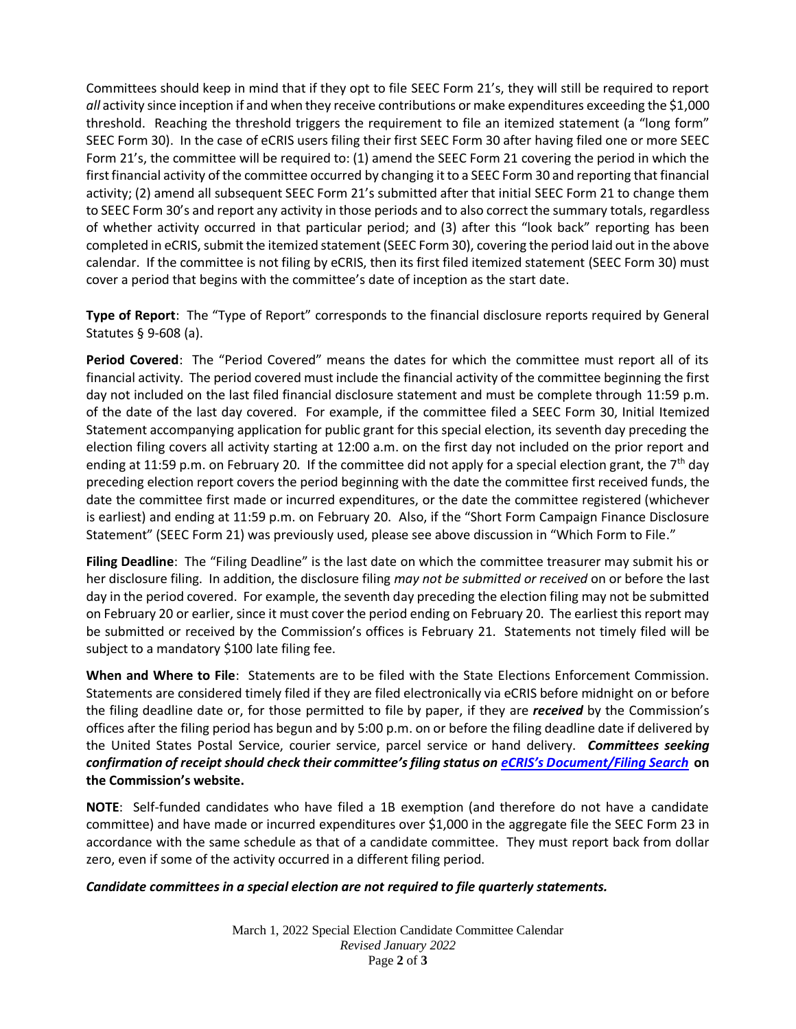Committees should keep in mind that if they opt to file SEEC Form 21's, they will still be required to report *all* activity since inception if and when they receive contributions or make expenditures exceeding the \$1,000 threshold. Reaching the threshold triggers the requirement to file an itemized statement (a "long form" SEEC Form 30). In the case of eCRIS users filing their first SEEC Form 30 after having filed one or more SEEC Form 21's, the committee will be required to: (1) amend the SEEC Form 21 covering the period in which the first financial activity of the committee occurred by changing it to a SEEC Form 30 and reporting that financial activity; (2) amend all subsequent SEEC Form 21's submitted after that initial SEEC Form 21 to change them to SEEC Form 30's and report any activity in those periods and to also correct the summary totals, regardless of whether activity occurred in that particular period; and (3) after this "look back" reporting has been completed in eCRIS, submit the itemized statement (SEEC Form 30), covering the period laid out in the above calendar. If the committee is not filing by eCRIS, then its first filed itemized statement (SEEC Form 30) must cover a period that begins with the committee's date of inception as the start date.

**Type of Report**: The "Type of Report" corresponds to the financial disclosure reports required by General Statutes § 9‐608 (a).

**Period Covered**: The "Period Covered" means the dates for which the committee must report all of its financial activity. The period covered must include the financial activity of the committee beginning the first day not included on the last filed financial disclosure statement and must be complete through 11:59 p.m. of the date of the last day covered. For example, if the committee filed a SEEC Form 30, Initial Itemized Statement accompanying application for public grant for this special election, its seventh day preceding the election filing covers all activity starting at 12:00 a.m. on the first day not included on the prior report and ending at 11:59 p.m. on February 20. If the committee did not apply for a special election grant, the 7<sup>th</sup> day preceding election report covers the period beginning with the date the committee first received funds, the date the committee first made or incurred expenditures, or the date the committee registered (whichever is earliest) and ending at 11:59 p.m. on February 20. Also, if the "Short Form Campaign Finance Disclosure Statement" (SEEC Form 21) was previously used, please see above discussion in "Which Form to File."

**Filing Deadline**: The "Filing Deadline" is the last date on which the committee treasurer may submit his or her disclosure filing. In addition, the disclosure filing *may not be submitted or received* on or before the last day in the period covered. For example, the seventh day preceding the election filing may not be submitted on February 20 or earlier, since it must cover the period ending on February 20. The earliest this report may be submitted or received by the Commission's offices is February 21. Statements not timely filed will be subject to a mandatory \$100 late filing fee.

**When and Where to File**: Statements are to be filed with the State Elections Enforcement Commission. Statements are considered timely filed if they are filed electronically via eCRIS before midnight on or before the filing deadline date or, for those permitted to file by paper, if they are *received* by the Commission's offices after the filing period has begun and by 5:00 p.m. on or before the filing deadline date if delivered by the United States Postal Service, courier service, parcel service or hand delivery. *Committees seeking confirmation of receipt should check their committee's filing status on eCRIS's [Document/Filing](https://seec.ct.gov/Portal/eCRIS/eCrisSearch) Search* **on the Commission's website.**

**NOTE**: Self-funded candidates who have filed a 1B exemption (and therefore do not have a candidate committee) and have made or incurred expenditures over \$1,000 in the aggregate file the SEEC Form 23 in accordance with the same schedule as that of a candidate committee. They must report back from dollar zero, even if some of the activity occurred in a different filing period.

## *Candidate committees in a special election are not required to file quarterly statements.*

March 1, 2022 Special Election Candidate Committee Calendar *Revised January 2022* Page **2** of **3**